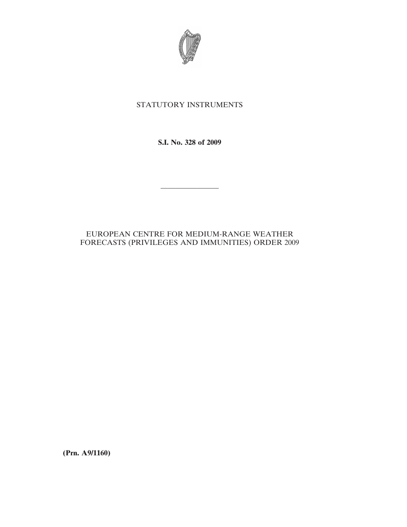

# STATUTORY INSTRUMENTS

**S.I. No. 328 of 2009**

————————

# EUROPEAN CENTRE FOR MEDIUM-RANGE WEATHER FORECASTS (PRIVILEGES AND IMMUNITIES) ORDER 2009

**(Prn. A9/1160)**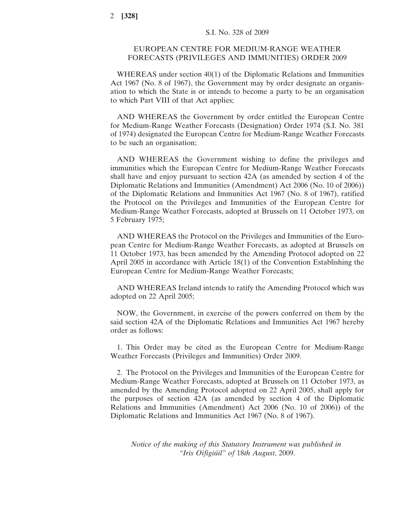# EUROPEAN CENTRE FOR MEDIUM-RANGE WEATHER FORECASTS (PRIVILEGES AND IMMUNITIES) ORDER 2009

WHEREAS under section 40(1) of the Diplomatic Relations and Immunities Act 1967 (No. 8 of 1967), the Government may by order designate an organisation to which the State is or intends to become a party to be an organisation to which Part VIII of that Act applies;

AND WHEREAS the Government by order entitled the European Centre for Medium-Range Weather Forecasts (Designation) Order 1974 (S.I. No. 381 of 1974) designated the European Centre for Medium-Range Weather Forecasts to be such an organisation;

AND WHEREAS the Government wishing to define the privileges and immunities which the European Centre for Medium-Range Weather Forecasts shall have and enjoy pursuant to section 42A (as amended by section 4 of the Diplomatic Relations and Immunities (Amendment) Act 2006 (No. 10 of 2006)) of the Diplomatic Relations and Immunities Act 1967 (No. 8 of 1967), ratified the Protocol on the Privileges and Immunities of the European Centre for Medium-Range Weather Forecasts, adopted at Brussels on 11 October 1973, on 5 February 1975;

AND WHEREAS the Protocol on the Privileges and Immunities of the European Centre for Medium-Range Weather Forecasts, as adopted at Brussels on 11 October 1973, has been amended by the Amending Protocol adopted on 22 April 2005 in accordance with Article 18(1) of the Convention Establishing the European Centre for Medium-Range Weather Forecasts;

AND WHEREAS Ireland intends to ratify the Amending Protocol which was adopted on 22 April 2005;

NOW, the Government, in exercise of the powers conferred on them by the said section 42A of the Diplomatic Relations and Immunities Act 1967 hereby order as follows:

1. This Order may be cited as the European Centre for Medium-Range Weather Forecasts (Privileges and Immunities) Order 2009.

2. The Protocol on the Privileges and Immunities of the European Centre for Medium-Range Weather Forecasts, adopted at Brussels on 11 October 1973, as amended by the Amending Protocol adopted on 22 April 2005, shall apply for the purposes of section 42A (as amended by section 4 of the Diplomatic Relations and Immunities (Amendment) Act 2006 (No. 10 of 2006)) of the Diplomatic Relations and Immunities Act 1967 (No. 8 of 1967).

*Notice of the making of this Statutory Instrument was published in "Iris Oifigiu´il" of* 18*th August*, 2009.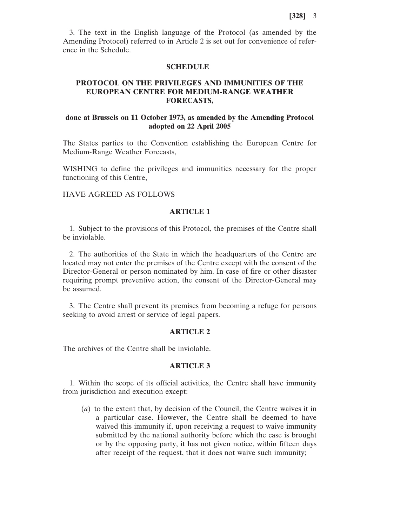3. The text in the English language of the Protocol (as amended by the Amending Protocol) referred to in Article 2 is set out for convenience of reference in the Schedule.

#### **SCHEDULE**

# **PROTOCOL ON THE PRIVILEGES AND IMMUNITIES OF THE EUROPEAN CENTRE FOR MEDIUM-RANGE WEATHER FORECASTS,**

# **done at Brussels on 11 October 1973, as amended by the Amending Protocol adopted on 22 April 2005**

The States parties to the Convention establishing the European Centre for Medium-Range Weather Forecasts,

WISHING to define the privileges and immunities necessary for the proper functioning of this Centre,

### HAVE AGREED AS FOLLOWS

### **ARTICLE 1**

1. Subject to the provisions of this Protocol, the premises of the Centre shall be inviolable.

2. The authorities of the State in which the headquarters of the Centre are located may not enter the premises of the Centre except with the consent of the Director-General or person nominated by him. In case of fire or other disaster requiring prompt preventive action, the consent of the Director-General may be assumed.

3. The Centre shall prevent its premises from becoming a refuge for persons seeking to avoid arrest or service of legal papers.

#### **ARTICLE 2**

The archives of the Centre shall be inviolable.

# **ARTICLE 3**

1. Within the scope of its official activities, the Centre shall have immunity from jurisdiction and execution except:

(*a*) to the extent that, by decision of the Council, the Centre waives it in a particular case. However, the Centre shall be deemed to have waived this immunity if, upon receiving a request to waive immunity submitted by the national authority before which the case is brought or by the opposing party, it has not given notice, within fifteen days after receipt of the request, that it does not waive such immunity;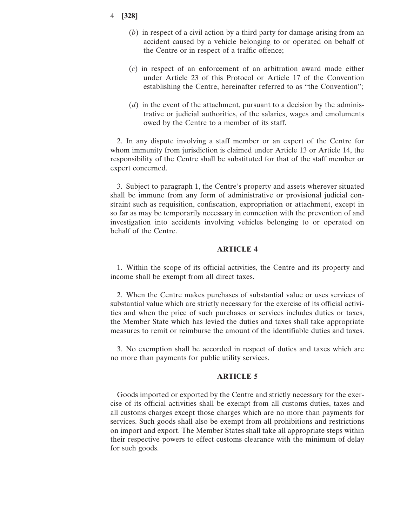- (*b*) in respect of a civil action by a third party for damage arising from an accident caused by a vehicle belonging to or operated on behalf of the Centre or in respect of a traffic offence;
- (*c*) in respect of an enforcement of an arbitration award made either under Article 23 of this Protocol or Article 17 of the Convention establishing the Centre, hereinafter referred to as "the Convention";
- (*d*) in the event of the attachment, pursuant to a decision by the administrative or judicial authorities, of the salaries, wages and emoluments owed by the Centre to a member of its staff.

2. In any dispute involving a staff member or an expert of the Centre for whom immunity from jurisdiction is claimed under Article 13 or Article 14, the responsibility of the Centre shall be substituted for that of the staff member or expert concerned.

3. Subject to paragraph 1, the Centre's property and assets wherever situated shall be immune from any form of administrative or provisional judicial constraint such as requisition, confiscation, expropriation or attachment, except in so far as may be temporarily necessary in connection with the prevention of and investigation into accidents involving vehicles belonging to or operated on behalf of the Centre.

### **ARTICLE 4**

1. Within the scope of its official activities, the Centre and its property and income shall be exempt from all direct taxes.

2. When the Centre makes purchases of substantial value or uses services of substantial value which are strictly necessary for the exercise of its official activities and when the price of such purchases or services includes duties or taxes, the Member State which has levied the duties and taxes shall take appropriate measures to remit or reimburse the amount of the identifiable duties and taxes.

3. No exemption shall be accorded in respect of duties and taxes which are no more than payments for public utility services.

### **ARTICLE 5**

Goods imported or exported by the Centre and strictly necessary for the exercise of its official activities shall be exempt from all customs duties, taxes and all customs charges except those charges which are no more than payments for services. Such goods shall also be exempt from all prohibitions and restrictions on import and export. The Member States shall take all appropriate steps within their respective powers to effect customs clearance with the minimum of delay for such goods.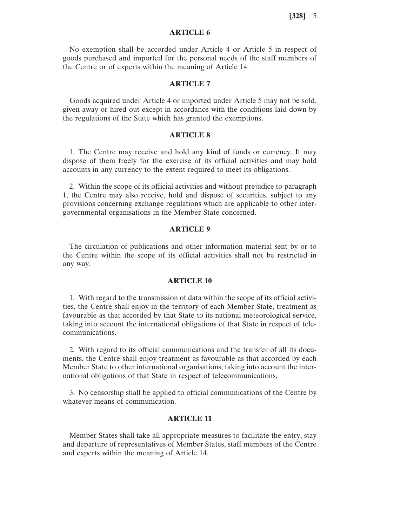# **ARTICLE 6**

No exemption shall be accorded under Article 4 or Article 5 in respect of goods purchased and imported for the personal needs of the staff members of the Centre or of experts within the meaning of Article 14.

# **ARTICLE 7**

Goods acquired under Article 4 or imported under Article 5 may not be sold, given away or hired out except in accordance with the conditions laid down by the regulations of the State which has granted the exemptions.

### **ARTICLE 8**

1. The Centre may receive and hold any kind of funds or currency. It may dispose of them freely for the exercise of its official activities and may hold accounts in any currency to the extent required to meet its obligations.

2. Within the scope of its official activities and without prejudice to paragraph 1, the Centre may also receive, hold and dispose of securities, subject to any provisions concerning exchange regulations which are applicable to other intergovernmental organisations in the Member State concerned.

#### **ARTICLE 9**

The circulation of publications and other information material sent by or to the Centre within the scope of its official activities shall not be restricted in any way.

#### **ARTICLE 10**

1. With regard to the transmission of data within the scope of its official activities, the Centre shall enjoy in the territory of each Member State, treatment as favourable as that accorded by that State to its national meteorological service, taking into account the international obligations of that State in respect of telecommunications.

2. With regard to its official communications and the transfer of all its documents, the Centre shall enjoy treatment as favourable as that accorded by each Member State to other international organisations, taking into account the international obligations of that State in respect of telecommunications.

3. No censorship shall be applied to official communications of the Centre by whatever means of communication.

# **ARTICLE 11**

Member States shall take all appropriate measures to facilitate the entry, stay and departure of representatives of Member States, staff members of the Centre and experts within the meaning of Article 14.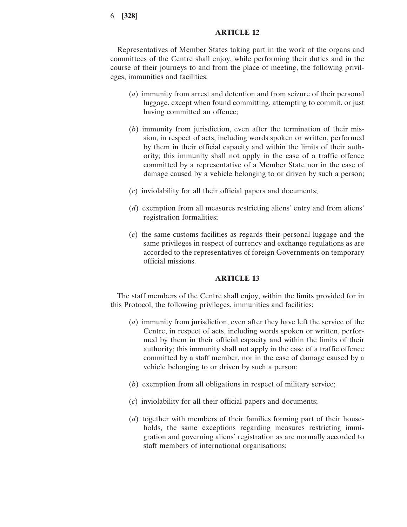### **ARTICLE 12**

Representatives of Member States taking part in the work of the organs and committees of the Centre shall enjoy, while performing their duties and in the course of their journeys to and from the place of meeting, the following privileges, immunities and facilities:

- (*a*) immunity from arrest and detention and from seizure of their personal luggage, except when found committing, attempting to commit, or just having committed an offence;
- (*b*) immunity from jurisdiction, even after the termination of their mission, in respect of acts, including words spoken or written, performed by them in their official capacity and within the limits of their authority; this immunity shall not apply in the case of a traffic offence committed by a representative of a Member State nor in the case of damage caused by a vehicle belonging to or driven by such a person;
- (*c*) inviolability for all their official papers and documents;
- (*d*) exemption from all measures restricting aliens' entry and from aliens' registration formalities;
- (*e*) the same customs facilities as regards their personal luggage and the same privileges in respect of currency and exchange regulations as are accorded to the representatives of foreign Governments on temporary official missions.

### **ARTICLE 13**

The staff members of the Centre shall enjoy, within the limits provided for in this Protocol, the following privileges, immunities and facilities:

- (*a*) immunity from jurisdiction, even after they have left the service of the Centre, in respect of acts, including words spoken or written, performed by them in their official capacity and within the limits of their authority; this immunity shall not apply in the case of a traffic offence committed by a staff member, nor in the case of damage caused by a vehicle belonging to or driven by such a person;
- (*b*) exemption from all obligations in respect of military service;
- (*c*) inviolability for all their official papers and documents;
- (*d*) together with members of their families forming part of their households, the same exceptions regarding measures restricting immigration and governing aliens' registration as are normally accorded to staff members of international organisations;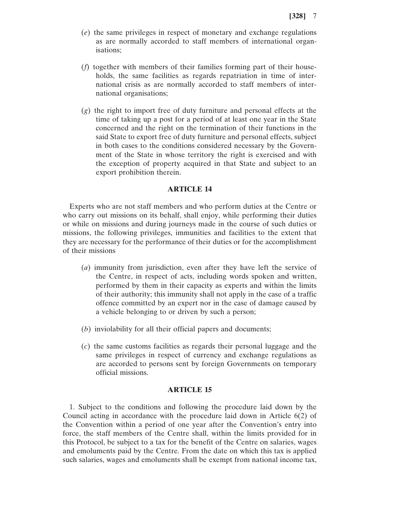- (*e*) the same privileges in respect of monetary and exchange regulations as are normally accorded to staff members of international organisations;
- (*f*) together with members of their families forming part of their households, the same facilities as regards repatriation in time of international crisis as are normally accorded to staff members of international organisations;
- (*g*) the right to import free of duty furniture and personal effects at the time of taking up a post for a period of at least one year in the State concerned and the right on the termination of their functions in the said State to export free of duty furniture and personal effects, subject in both cases to the conditions considered necessary by the Government of the State in whose territory the right is exercised and with the exception of property acquired in that State and subject to an export prohibition therein.

### **ARTICLE 14**

Experts who are not staff members and who perform duties at the Centre or who carry out missions on its behalf, shall enjoy, while performing their duties or while on missions and during journeys made in the course of such duties or missions, the following privileges, immunities and facilities to the extent that they are necessary for the performance of their duties or for the accomplishment of their missions

- (*a*) immunity from jurisdiction, even after they have left the service of the Centre, in respect of acts, including words spoken and written, performed by them in their capacity as experts and within the limits of their authority; this immunity shall not apply in the case of a traffic offence committed by an expert nor in the case of damage caused by a vehicle belonging to or driven by such a person;
- (*b*) inviolability for all their official papers and documents;
- (*c*) the same customs facilities as regards their personal luggage and the same privileges in respect of currency and exchange regulations as are accorded to persons sent by foreign Governments on temporary official missions.

### **ARTICLE 15**

1. Subject to the conditions and following the procedure laid down by the Council acting in accordance with the procedure laid down in Article 6(2) of the Convention within a period of one year after the Convention's entry into force, the staff members of the Centre shall, within the limits provided for in this Protocol, be subject to a tax for the benefit of the Centre on salaries, wages and emoluments paid by the Centre. From the date on which this tax is applied such salaries, wages and emoluments shall be exempt from national income tax,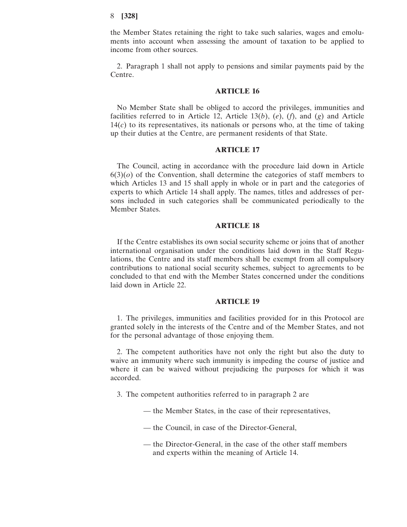the Member States retaining the right to take such salaries, wages and emoluments into account when assessing the amount of taxation to be applied to income from other sources.

2. Paragraph 1 shall not apply to pensions and similar payments paid by the Centre.

#### **ARTICLE 16**

No Member State shall be obliged to accord the privileges, immunities and facilities referred to in Article 12, Article 13(*b*), (*e*), (*f*), and (*g*) and Article  $14(c)$  to its representatives, its nationals or persons who, at the time of taking up their duties at the Centre, are permanent residents of that State.

### **ARTICLE 17**

The Council, acting in accordance with the procedure laid down in Article  $6(3)(o)$  of the Convention, shall determine the categories of staff members to which Articles 13 and 15 shall apply in whole or in part and the categories of experts to which Article 14 shall apply. The names, titles and addresses of persons included in such categories shall be communicated periodically to the Member States.

### **ARTICLE 18**

If the Centre establishes its own social security scheme or joins that of another international organisation under the conditions laid down in the Staff Regulations, the Centre and its staff members shall be exempt from all compulsory contributions to national social security schemes, subject to agreements to be concluded to that end with the Member States concerned under the conditions laid down in Article 22.

### **ARTICLE 19**

1. The privileges, immunities and facilities provided for in this Protocol are granted solely in the interests of the Centre and of the Member States, and not for the personal advantage of those enjoying them.

2. The competent authorities have not only the right but also the duty to waive an immunity where such immunity is impeding the course of justice and where it can be waived without prejudicing the purposes for which it was accorded.

- 3. The competent authorities referred to in paragraph 2 are
	- the Member States, in the case of their representatives,
	- the Council, in case of the Director-General,
	- the Director-General, in the case of the other staff members and experts within the meaning of Article 14.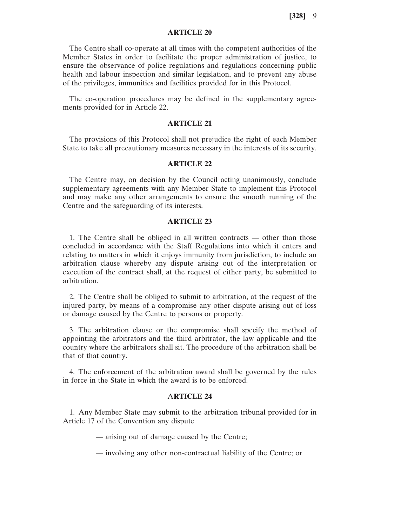# **ARTICLE 20**

The Centre shall co-operate at all times with the competent authorities of the Member States in order to facilitate the proper administration of justice, to ensure the observance of police regulations and regulations concerning public health and labour inspection and similar legislation, and to prevent any abuse of the privileges, immunities and facilities provided for in this Protocol.

The co-operation procedures may be defined in the supplementary agreements provided for in Article 22.

#### **ARTICLE 21**

The provisions of this Protocol shall not prejudice the right of each Member State to take all precautionary measures necessary in the interests of its security.

### **ARTICLE 22**

The Centre may, on decision by the Council acting unanimously, conclude supplementary agreements with any Member State to implement this Protocol and may make any other arrangements to ensure the smooth running of the Centre and the safeguarding of its interests.

### **ARTICLE 23**

1. The Centre shall be obliged in all written contracts — other than those concluded in accordance with the Staff Regulations into which it enters and relating to matters in which it enjoys immunity from jurisdiction, to include an arbitration clause whereby any dispute arising out of the interpretation or execution of the contract shall, at the request of either party, be submitted to arbitration.

2. The Centre shall be obliged to submit to arbitration, at the request of the injured party, by means of a compromise any other dispute arising out of loss or damage caused by the Centre to persons or property.

3. The arbitration clause or the compromise shall specify the method of appointing the arbitrators and the third arbitrator, the law applicable and the country where the arbitrators shall sit. The procedure of the arbitration shall be that of that country.

4. The enforcement of the arbitration award shall be governed by the rules in force in the State in which the award is to be enforced.

# A**RTICLE 24**

1. Any Member State may submit to the arbitration tribunal provided for in Article 17 of the Convention any dispute

— arising out of damage caused by the Centre;

— involving any other non-contractual liability of the Centre; or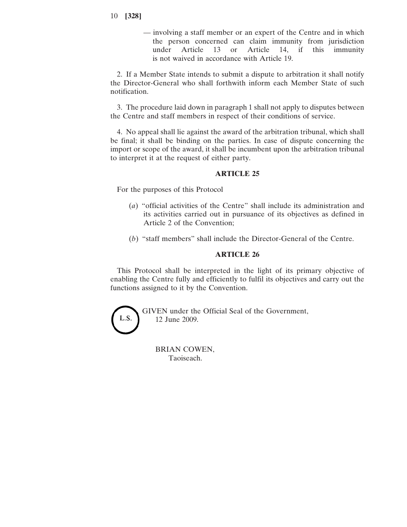- 10 **[328]**
	- involving a staff member or an expert of the Centre and in which the person concerned can claim immunity from jurisdiction under Article 13 or Article 14, if this immunity is not waived in accordance with Article 19.

2. If a Member State intends to submit a dispute to arbitration it shall notify the Director-General who shall forthwith inform each Member State of such notification.

3. The procedure laid down in paragraph 1 shall not apply to disputes between the Centre and staff members in respect of their conditions of service.

4. No appeal shall lie against the award of the arbitration tribunal, which shall be final; it shall be binding on the parties. In case of dispute concerning the import or scope of the award, it shall be incumbent upon the arbitration tribunal to interpret it at the request of either party.

## **ARTICLE 25**

For the purposes of this Protocol

- (*a*) "official activities of the Centre" shall include its administration and its activities carried out in pursuance of its objectives as defined in Article 2 of the Convention;
- (*b*) "staff members" shall include the Director-General of the Centre.

# **ARTICLE 26**

This Protocol shall be interpreted in the light of its primary objective of enabling the Centre fully and efficiently to fulfil its objectives and carry out the functions assigned to it by the Convention.



GIVEN under the Official Seal of the Government, 12 June 2009.

BRIAN COWEN, Taoiseach.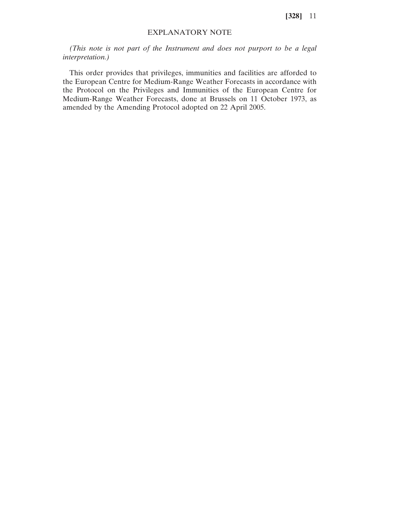# EXPLANATORY NOTE

*(This note is not part of the Instrument and does not purport to be a legal interpretation.)*

This order provides that privileges, immunities and facilities are afforded to the European Centre for Medium-Range Weather Forecasts in accordance with the Protocol on the Privileges and Immunities of the European Centre for Medium-Range Weather Forecasts, done at Brussels on 11 October 1973, as amended by the Amending Protocol adopted on 22 April 2005.